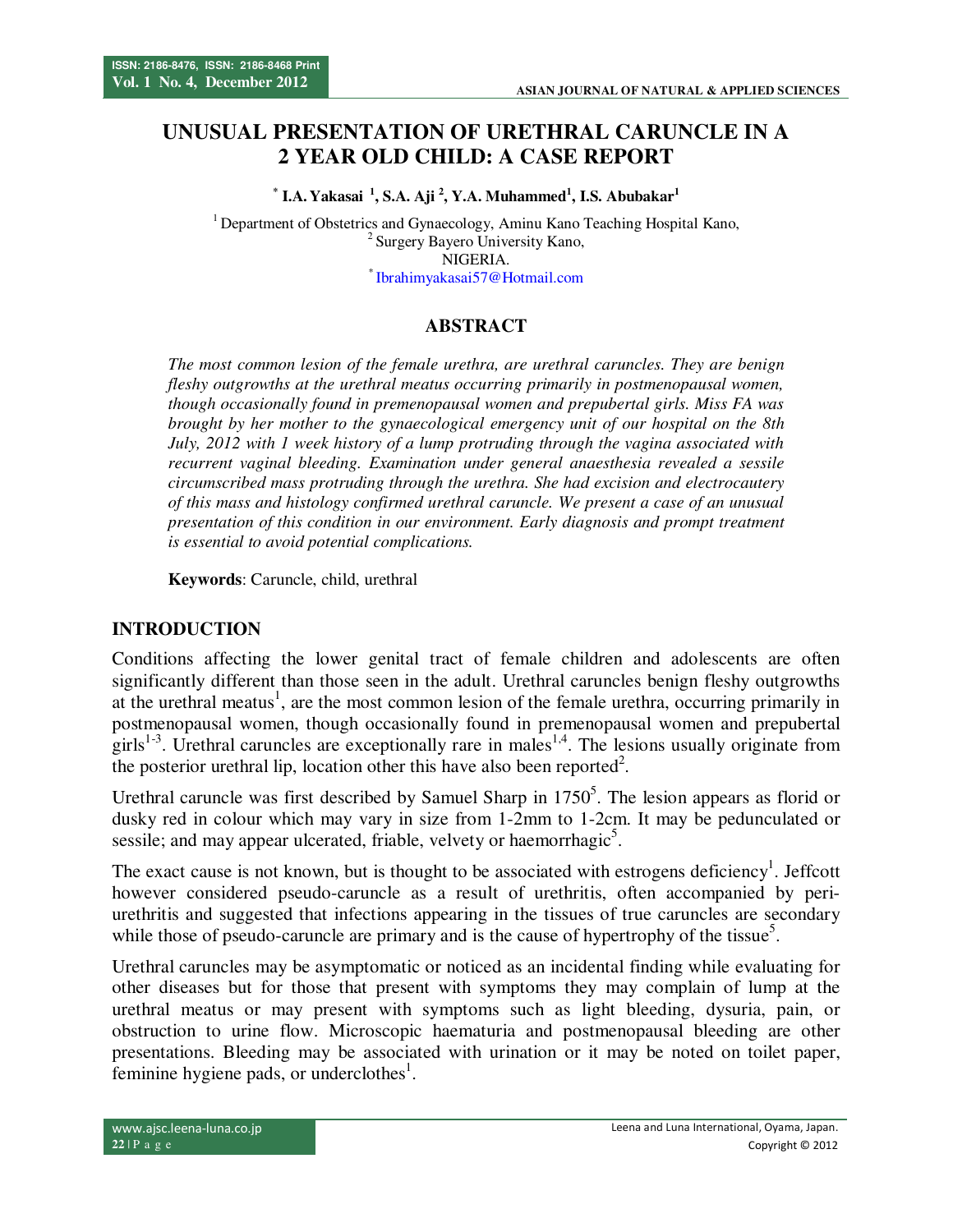# **UNUSUAL PRESENTATION OF URETHRAL CARUNCLE IN A 2 YEAR OLD CHILD: A CASE REPORT**

**\* I.A. Yakasai <sup>1</sup>, S.A. Aji <sup>2</sup> , Y.A. Muhammed<sup>1</sup> , I.S. Abubakar<sup>1</sup>**

<sup>1</sup> Department of Obstetrics and Gynaecology, Aminu Kano Teaching Hospital Kano, <sup>2</sup> Surgery Bayero University Kano, NIGERIA. \* Ibrahimyakasai57@Hotmail.com

### **ABSTRACT**

*The most common lesion of the female urethra, are urethral caruncles. They are benign fleshy outgrowths at the urethral meatus occurring primarily in postmenopausal women, though occasionally found in premenopausal women and prepubertal girls. Miss FA was brought by her mother to the gynaecological emergency unit of our hospital on the 8th July, 2012 with 1 week history of a lump protruding through the vagina associated with recurrent vaginal bleeding. Examination under general anaesthesia revealed a sessile circumscribed mass protruding through the urethra. She had excision and electrocautery of this mass and histology confirmed urethral caruncle. We present a case of an unusual presentation of this condition in our environment. Early diagnosis and prompt treatment is essential to avoid potential complications.* 

**Keywords**: Caruncle, child, urethral

### **INTRODUCTION**

Conditions affecting the lower genital tract of female children and adolescents are often significantly different than those seen in the adult. Urethral caruncles benign fleshy outgrowths at the urethral meatus<sup>1</sup>, are the most common lesion of the female urethra, occurring primarily in postmenopausal women, though occasionally found in premenopausal women and prepubertal girls<sup>1-3</sup>. Urethral caruncles are exceptionally rare in males<sup>1,4</sup>. The lesions usually originate from the posterior urethral lip, location other this have also been reported<sup>2</sup>.

Urethral caruncle was first described by Samuel Sharp in  $1750<sup>5</sup>$ . The lesion appears as florid or dusky red in colour which may vary in size from 1-2mm to 1-2cm. It may be pedunculated or sessile; and may appear ulcerated, friable, velvety or haemorrhagic<sup>5</sup>.

The exact cause is not known, but is thought to be associated with estrogens deficiency<sup>1</sup>. Jeffcott however considered pseudo-caruncle as a result of urethritis, often accompanied by periurethritis and suggested that infections appearing in the tissues of true caruncles are secondary while those of pseudo-caruncle are primary and is the cause of hypertrophy of the tissue<sup>5</sup>.

Urethral caruncles may be asymptomatic or noticed as an incidental finding while evaluating for other diseases but for those that present with symptoms they may complain of lump at the urethral meatus or may present with symptoms such as light bleeding, dysuria, pain, or obstruction to urine flow. Microscopic haematuria and postmenopausal bleeding are other presentations. Bleeding may be associated with urination or it may be noted on toilet paper, feminine hygiene pads, or underclothes $<sup>1</sup>$ .</sup>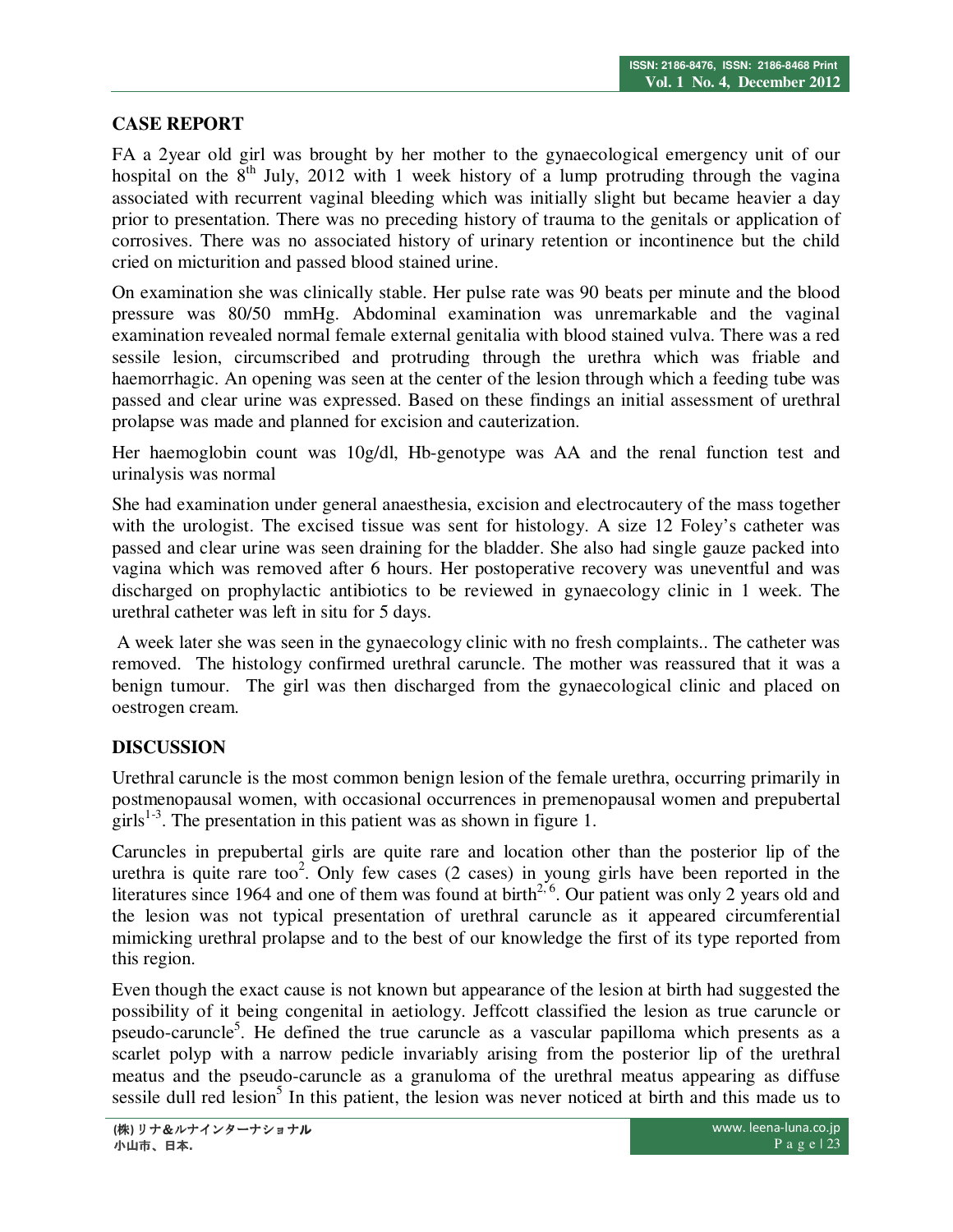# **CASE REPORT**

FA a 2year old girl was brought by her mother to the gynaecological emergency unit of our hospital on the  $8<sup>th</sup>$  July, 2012 with 1 week history of a lump protruding through the vagina associated with recurrent vaginal bleeding which was initially slight but became heavier a day prior to presentation. There was no preceding history of trauma to the genitals or application of corrosives. There was no associated history of urinary retention or incontinence but the child cried on micturition and passed blood stained urine.

On examination she was clinically stable. Her pulse rate was 90 beats per minute and the blood pressure was 80/50 mmHg. Abdominal examination was unremarkable and the vaginal examination revealed normal female external genitalia with blood stained vulva. There was a red sessile lesion, circumscribed and protruding through the urethra which was friable and haemorrhagic. An opening was seen at the center of the lesion through which a feeding tube was passed and clear urine was expressed. Based on these findings an initial assessment of urethral prolapse was made and planned for excision and cauterization.

Her haemoglobin count was 10g/dl, Hb-genotype was AA and the renal function test and urinalysis was normal

She had examination under general anaesthesia, excision and electrocautery of the mass together with the urologist. The excised tissue was sent for histology. A size 12 Foley's catheter was passed and clear urine was seen draining for the bladder. She also had single gauze packed into vagina which was removed after 6 hours. Her postoperative recovery was uneventful and was discharged on prophylactic antibiotics to be reviewed in gynaecology clinic in 1 week. The urethral catheter was left in situ for 5 days.

 A week later she was seen in the gynaecology clinic with no fresh complaints.. The catheter was removed. The histology confirmed urethral caruncle. The mother was reassured that it was a benign tumour. The girl was then discharged from the gynaecological clinic and placed on oestrogen cream.

## **DISCUSSION**

Urethral caruncle is the most common benign lesion of the female urethra, occurring primarily in postmenopausal women, with occasional occurrences in premenopausal women and prepubertal girls<sup>1-3</sup>. The presentation in this patient was as shown in figure 1.

Caruncles in prepubertal girls are quite rare and location other than the posterior lip of the urethra is quite rare too<sup>2</sup>. Only few cases  $(2 \text{ cases})$  in young girls have been reported in the literatures since 1964 and one of them was found at birth<sup>2, 6</sup>. Our patient was only 2 years old and the lesion was not typical presentation of urethral caruncle as it appeared circumferential mimicking urethral prolapse and to the best of our knowledge the first of its type reported from this region.

Even though the exact cause is not known but appearance of the lesion at birth had suggested the possibility of it being congenital in aetiology. Jeffcott classified the lesion as true caruncle or pseudo-caruncle<sup>5</sup>. He defined the true caruncle as a vascular papilloma which presents as a scarlet polyp with a narrow pedicle invariably arising from the posterior lip of the urethral meatus and the pseudo-caruncle as a granuloma of the urethral meatus appearing as diffuse sessile dull red lesion<sup>5</sup> In this patient, the lesion was never noticed at birth and this made us to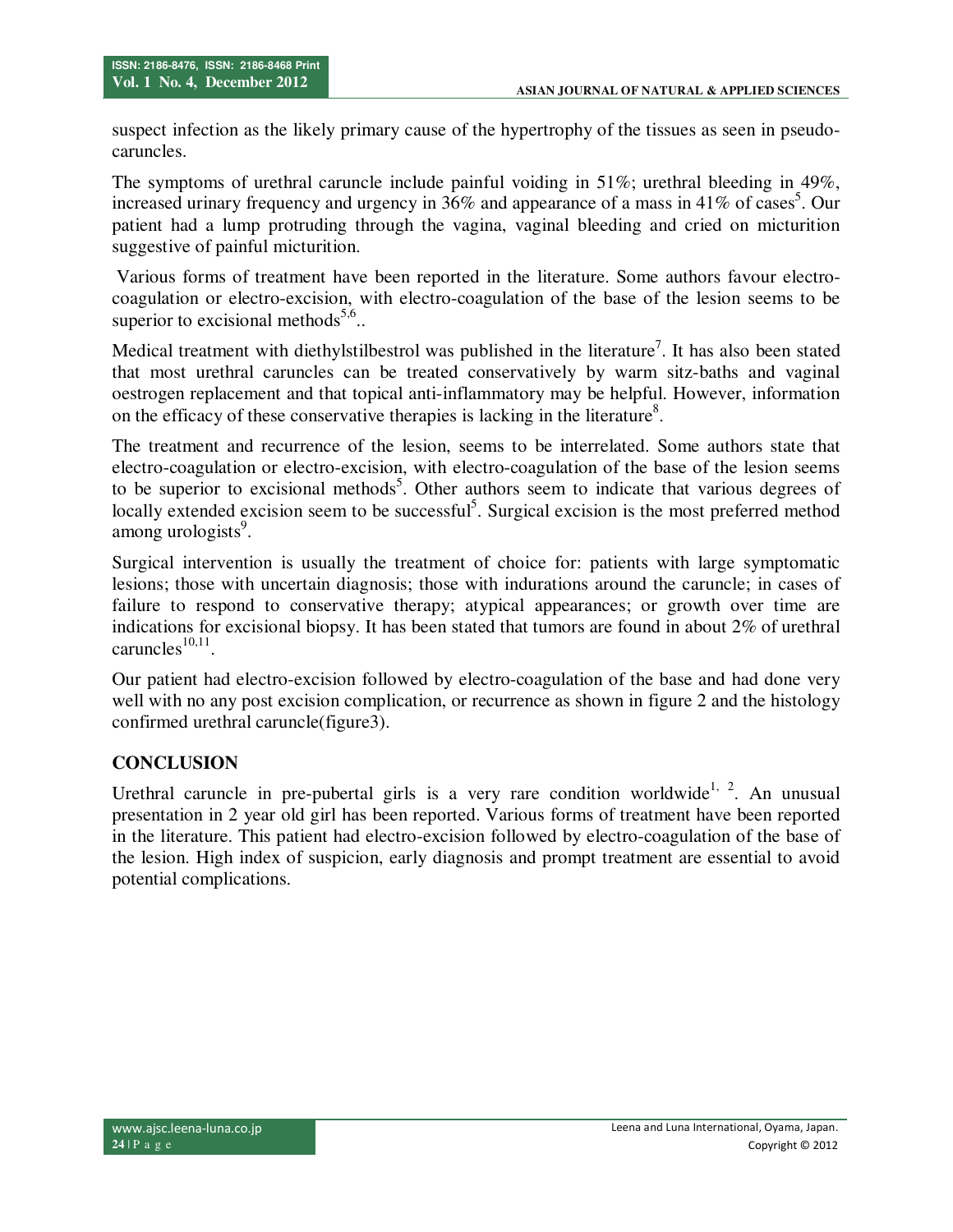suspect infection as the likely primary cause of the hypertrophy of the tissues as seen in pseudocaruncles.

The symptoms of urethral caruncle include painful voiding in 51%; urethral bleeding in 49%, increased urinary frequency and urgency in  $36\%$  and appearance of a mass in 41% of cases<sup>5</sup>. Our patient had a lump protruding through the vagina, vaginal bleeding and cried on micturition suggestive of painful micturition.

 Various forms of treatment have been reported in the literature. Some authors favour electrocoagulation or electro-excision, with electro-coagulation of the base of the lesion seems to be superior to excisional methods<sup>5,6</sup>..

Medical treatment with diethylstilbestrol was published in the literature<sup>7</sup>. It has also been stated that most urethral caruncles can be treated conservatively by warm sitz-baths and vaginal oestrogen replacement and that topical anti-inflammatory may be helpful. However, information on the efficacy of these conservative therapies is lacking in the literature<sup>8</sup>.

The treatment and recurrence of the lesion, seems to be interrelated. Some authors state that electro-coagulation or electro-excision, with electro-coagulation of the base of the lesion seems to be superior to excisional methods<sup>5</sup>. Other authors seem to indicate that various degrees of locally extended excision seem to be successful<sup>5</sup>. Surgical excision is the most preferred method among urologists<sup>9</sup>.

Surgical intervention is usually the treatment of choice for: patients with large symptomatic lesions; those with uncertain diagnosis; those with indurations around the caruncle; in cases of failure to respond to conservative therapy; atypical appearances; or growth over time are indications for excisional biopsy. It has been stated that tumors are found in about 2% of urethral  $caruncles<sup>10,11</sup>$ .

Our patient had electro-excision followed by electro-coagulation of the base and had done very well with no any post excision complication, or recurrence as shown in figure 2 and the histology confirmed urethral caruncle(figure3).

## **CONCLUSION**

Urethral caruncle in pre-pubertal girls is a very rare condition worldwide<sup>1, 2</sup>. An unusual presentation in 2 year old girl has been reported. Various forms of treatment have been reported in the literature. This patient had electro-excision followed by electro-coagulation of the base of the lesion. High index of suspicion, early diagnosis and prompt treatment are essential to avoid potential complications.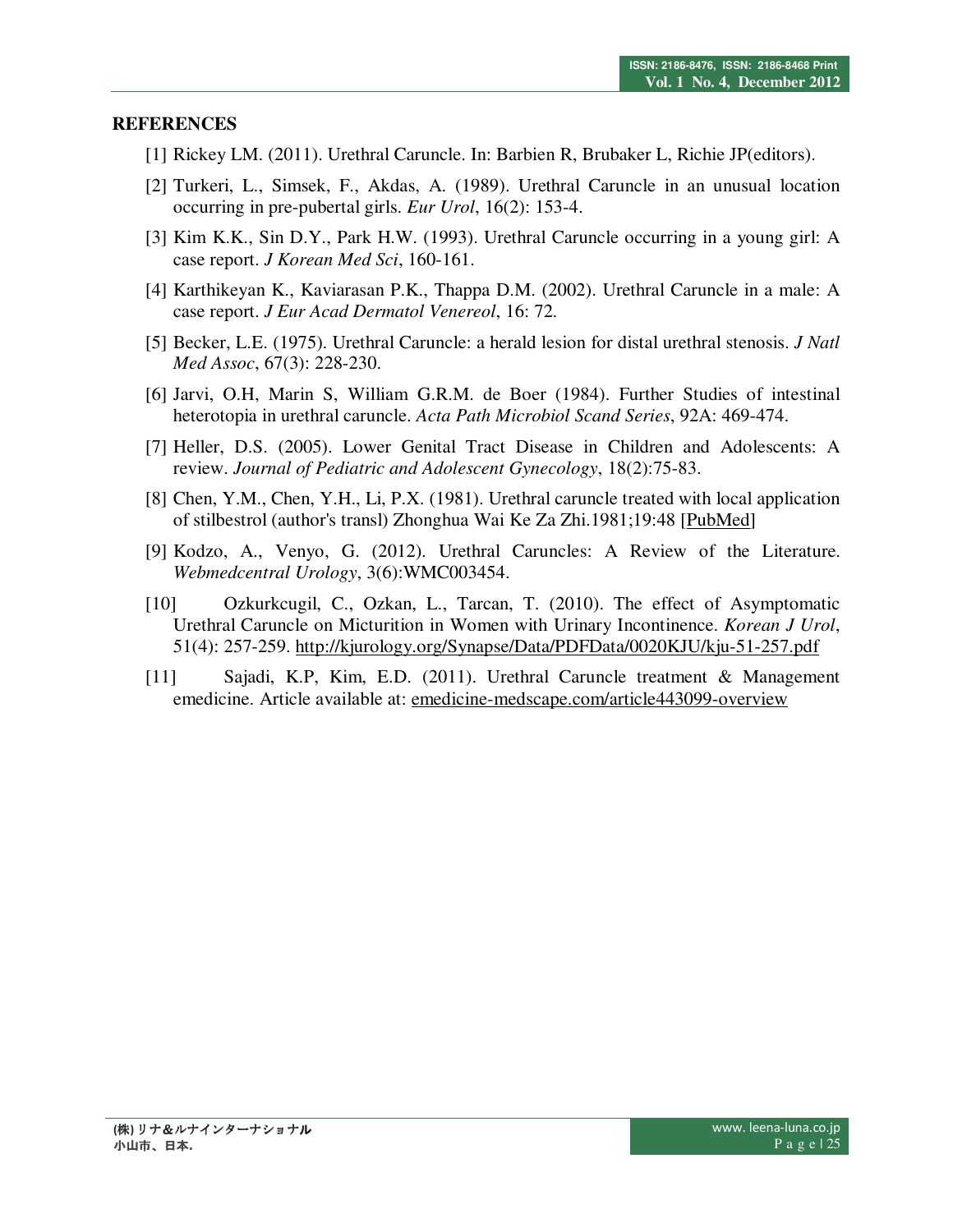#### **REFERENCES**

- [1] Rickey LM. (2011). Urethral Caruncle. In: Barbien R, Brubaker L, Richie JP(editors).
- [2] Turkeri, L., Simsek, F., Akdas, A. (1989). Urethral Caruncle in an unusual location occurring in pre-pubertal girls. *Eur Urol*, 16(2): 153-4.
- [3] Kim K.K., Sin D.Y., Park H.W. (1993). Urethral Caruncle occurring in a young girl: A case report. *J Korean Med Sci*, 160-161.
- [4] Karthikeyan K., Kaviarasan P.K., Thappa D.M. (2002). Urethral Caruncle in a male: A case report. *J Eur Acad Dermatol Venereol*, 16: 72.
- [5] Becker, L.E. (1975). Urethral Caruncle: a herald lesion for distal urethral stenosis. *J Natl Med Assoc*, 67(3): 228-230.
- [6] Jarvi, O.H, Marin S, William G.R.M. de Boer (1984). Further Studies of intestinal heterotopia in urethral caruncle. *Acta Path Microbiol Scand Series*, 92A: 469-474.
- [7] Heller, D.S. (2005). Lower Genital Tract Disease in Children and Adolescents: A review. *Journal of Pediatric and Adolescent Gynecology*, 18(2):75-83.
- [8] Chen, Y.M., Chen, Y.H., Li, P.X. (1981). Urethral caruncle treated with local application of stilbestrol (author's transl) Zhonghua Wai Ke Za Zhi.1981;19:48 [PubMed]
- [9] Kodzo, A., Venyo, G. (2012). Urethral Caruncles: A Review of the Literature. *Webmedcentral Urology*, 3(6):WMC003454.
- [10] Ozkurkcugil, C., Ozkan, L., Tarcan, T. (2010). The effect of Asymptomatic Urethral Caruncle on Micturition in Women with Urinary Incontinence. *Korean J Urol*, 51(4): 257-259. http://kjurology.org/Synapse/Data/PDFData/0020KJU/kju-51-257.pdf
- [11] Sajadi, K.P, Kim, E.D. (2011). Urethral Caruncle treatment & Management emedicine. Article available at: emedicine-medscape.com/article443099-overview